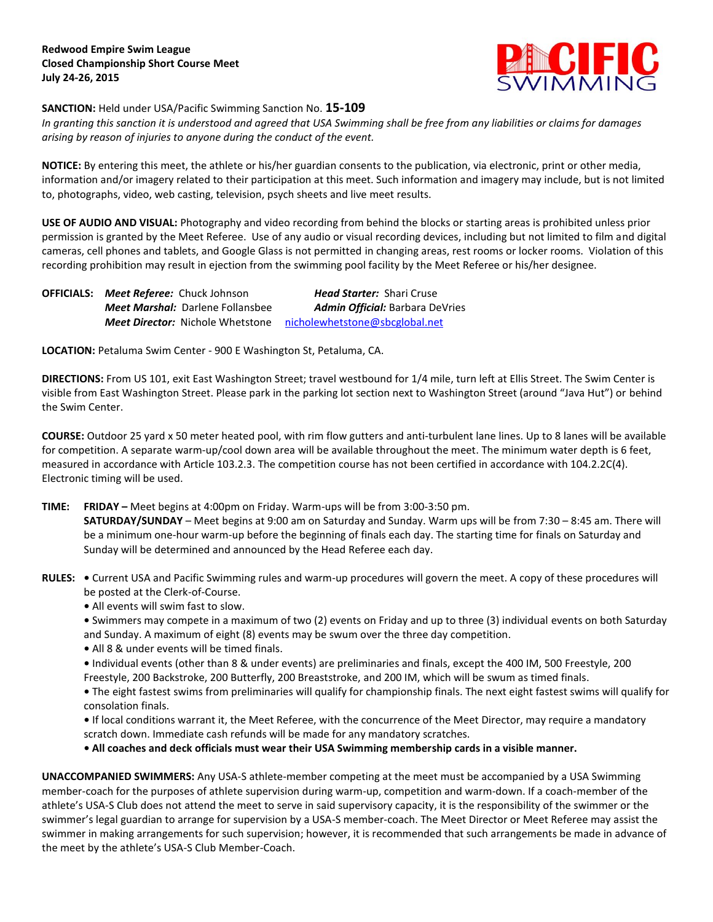

## **SANCTION:** Held under USA/Pacific Swimming Sanction No. **15-109**

*In granting this sanction it is understood and agreed that USA Swimming shall be free from any liabilities or claims for damages arising by reason of injuries to anyone during the conduct of the event.*

**NOTICE:** By entering this meet, the athlete or his/her guardian consents to the publication, via electronic, print or other media, information and/or imagery related to their participation at this meet. Such information and imagery may include, but is not limited to, photographs, video, web casting, television, psych sheets and live meet results.

**USE OF AUDIO AND VISUAL:** Photography and video recording from behind the blocks or starting areas is prohibited unless prior permission is granted by the Meet Referee. Use of any audio or visual recording devices, including but not limited to film and digital cameras, cell phones and tablets, and Google Glass is not permitted in changing areas, rest rooms or locker rooms. Violation of this recording prohibition may result in ejection from the swimming pool facility by the Meet Referee or his/her designee.

**OFFICIALS:** *Meet Referee:* Chuck Johnson *Head Starter:* Shari Cruse *Meet Marshal:* Darlene Follansbee *Admin Official:* Barbara DeVries *Meet Director:* Nichole Whetstone [nicholewhetstone@sbcglobal.net](mailto:nicholewhetstone@sbcglobal.net)

**LOCATION:** Petaluma Swim Center - 900 E Washington St, Petaluma, CA.

**DIRECTIONS:** From US 101, exit East Washington Street; travel westbound for 1/4 mile, turn left at Ellis Street. The Swim Center is visible from East Washington Street. Please park in the parking lot section next to Washington Street (around "Java Hut") or behind the Swim Center.

**COURSE:** Outdoor 25 yard x 50 meter heated pool, with rim flow gutters and anti-turbulent lane lines. Up to 8 lanes will be available for competition. A separate warm-up/cool down area will be available throughout the meet. The minimum water depth is 6 feet, measured in accordance with Article 103.2.3. The competition course has not been certified in accordance with 104.2.2C(4). Electronic timing will be used.

- **TIME: FRIDAY –** Meet begins at 4:00pm on Friday. Warm-ups will be from 3:00-3:50 pm. **SATURDAY/SUNDAY** – Meet begins at 9:00 am on Saturday and Sunday. Warm ups will be from 7:30 – 8:45 am. There will be a minimum one-hour warm-up before the beginning of finals each day. The starting time for finals on Saturday and Sunday will be determined and announced by the Head Referee each day.
- **RULES:** Current USA and Pacific Swimming rules and warm-up procedures will govern the meet. A copy of these procedures will be posted at the Clerk-of-Course.
	- **•** All events will swim fast to slow.
	- **•** Swimmers may compete in a maximum of two (2) events on Friday and up to three (3) individual events on both Saturday and Sunday. A maximum of eight (8) events may be swum over the three day competition.
	- **•** All 8 & under events will be timed finals.
	- **•** Individual events (other than 8 & under events) are preliminaries and finals, except the 400 IM, 500 Freestyle, 200 Freestyle, 200 Backstroke, 200 Butterfly, 200 Breaststroke, and 200 IM, which will be swum as timed finals.

**•** The eight fastest swims from preliminaries will qualify for championship finals. The next eight fastest swims will qualify for consolation finals.

**•** If local conditions warrant it, the Meet Referee, with the concurrence of the Meet Director, may require a mandatory scratch down. Immediate cash refunds will be made for any mandatory scratches.

**• All coaches and deck officials must wear their USA Swimming membership cards in a visible manner.** 

**UNACCOMPANIED SWIMMERS:** Any USA-S athlete-member competing at the meet must be accompanied by a USA Swimming member-coach for the purposes of athlete supervision during warm-up, competition and warm-down. If a coach-member of the athlete's USA-S Club does not attend the meet to serve in said supervisory capacity, it is the responsibility of the swimmer or the swimmer's legal guardian to arrange for supervision by a USA-S member-coach. The Meet Director or Meet Referee may assist the swimmer in making arrangements for such supervision; however, it is recommended that such arrangements be made in advance of the meet by the athlete's USA-S Club Member-Coach.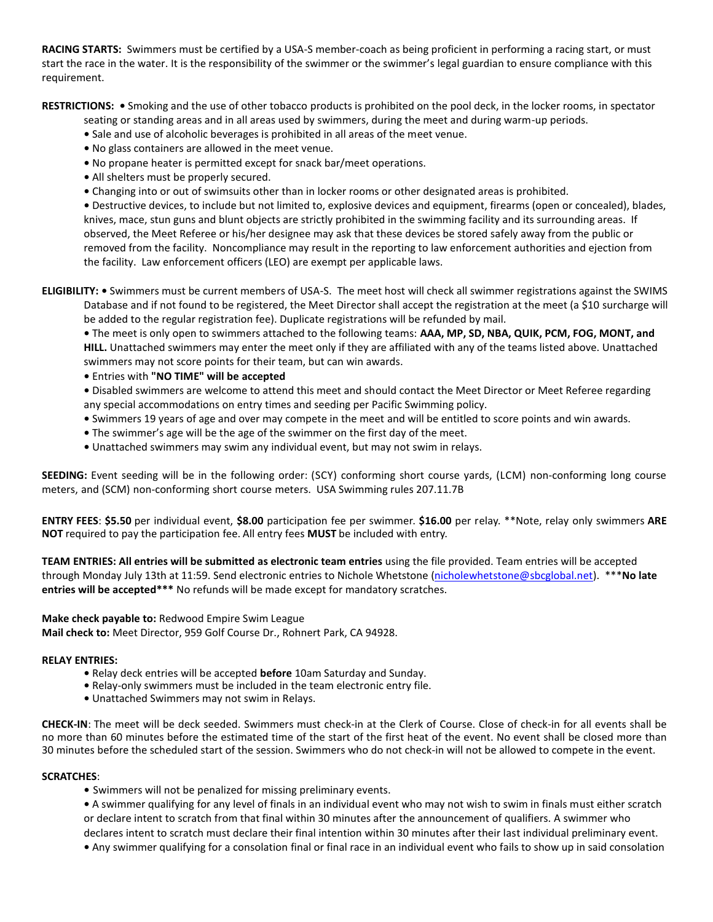**RACING STARTS:** Swimmers must be certified by a USA-S member-coach as being proficient in performing a racing start, or must start the race in the water. It is the responsibility of the swimmer or the swimmer's legal guardian to ensure compliance with this requirement.

**RESTRICTIONS: •** Smoking and the use of other tobacco products is prohibited on the pool deck, in the locker rooms, in spectator

seating or standing areas and in all areas used by swimmers, during the meet and during warm-up periods.

- **•** Sale and use of alcoholic beverages is prohibited in all areas of the meet venue.
- **•** No glass containers are allowed in the meet venue.
- **•** No propane heater is permitted except for snack bar/meet operations.
- **•** All shelters must be properly secured.
- **•** Changing into or out of swimsuits other than in locker rooms or other designated areas is prohibited.

**•** Destructive devices, to include but not limited to, explosive devices and equipment, firearms (open or concealed), blades, knives, mace, stun guns and blunt objects are strictly prohibited in the swimming facility and its surrounding areas. If observed, the Meet Referee or his/her designee may ask that these devices be stored safely away from the public or removed from the facility. Noncompliance may result in the reporting to law enforcement authorities and ejection from the facility. Law enforcement officers (LEO) are exempt per applicable laws.

**ELIGIBILITY: •** Swimmers must be current members of USA-S. The meet host will check all swimmer registrations against the SWIMS Database and if not found to be registered, the Meet Director shall accept the registration at the meet (a \$10 surcharge will be added to the regular registration fee). Duplicate registrations will be refunded by mail.

**•** The meet is only open to swimmers attached to the following teams: **AAA, MP, SD, NBA, QUIK, PCM, FOG, MONT, and HILL.** Unattached swimmers may enter the meet only if they are affiliated with any of the teams listed above. Unattached swimmers may not score points for their team, but can win awards.

**•** Entries with **"NO TIME" will be accepted**

**•** Disabled swimmers are welcome to attend this meet and should contact the Meet Director or Meet Referee regarding any special accommodations on entry times and seeding per Pacific Swimming policy.

- **•** Swimmers 19 years of age and over may compete in the meet and will be entitled to score points and win awards.
- **•** The swimmer's age will be the age of the swimmer on the first day of the meet.
- **•** Unattached swimmers may swim any individual event, but may not swim in relays.

**SEEDING:** Event seeding will be in the following order: (SCY) conforming short course yards, (LCM) non-conforming long course meters, and (SCM) non-conforming short course meters. USA Swimming rules 207.11.7B

**ENTRY FEES**: **\$5.50** per individual event, **\$8.00** participation fee per swimmer. **\$16.00** per relay. \*\*Note, relay only swimmers **ARE NOT** required to pay the participation fee. All entry fees **MUST** be included with entry.

**TEAM ENTRIES: All entries will be submitted as electronic team entries** using the file provided. Team entries will be accepted through Monday July 13th at 11:59. Send electronic entries to Nichole Whetstone [\(nicholewhetstone@sbcglobal.net\)](mailto:nicholewhetstone@sbcglobal.net). \*\*\***No late entries will be accepted\*\*\*** No refunds will be made except for mandatory scratches.

# **Make check payable to:** Redwood Empire Swim League

**Mail check to:** Meet Director, 959 Golf Course Dr., Rohnert Park, CA 94928.

#### **RELAY ENTRIES:**

- **•** Relay deck entries will be accepted **before** 10am Saturday and Sunday.
- **•** Relay-only swimmers must be included in the team electronic entry file.
- **•** Unattached Swimmers may not swim in Relays.

**CHECK-IN**: The meet will be deck seeded. Swimmers must check-in at the Clerk of Course. Close of check-in for all events shall be no more than 60 minutes before the estimated time of the start of the first heat of the event. No event shall be closed more than 30 minutes before the scheduled start of the session. Swimmers who do not check-in will not be allowed to compete in the event.

#### **SCRATCHES**:

- **•** Swimmers will not be penalized for missing preliminary events.
- **•** A swimmer qualifying for any level of finals in an individual event who may not wish to swim in finals must either scratch or declare intent to scratch from that final within 30 minutes after the announcement of qualifiers. A swimmer who declares intent to scratch must declare their final intention within 30 minutes after their last individual preliminary event.
- **•** Any swimmer qualifying for a consolation final or final race in an individual event who fails to show up in said consolation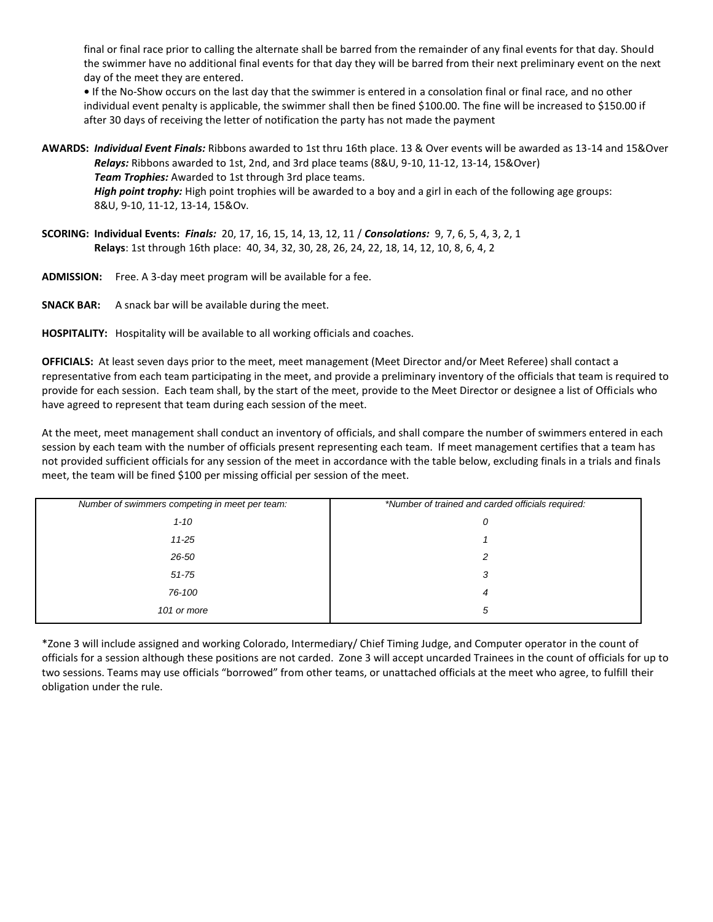final or final race prior to calling the alternate shall be barred from the remainder of any final events for that day. Should the swimmer have no additional final events for that day they will be barred from their next preliminary event on the next day of the meet they are entered.

• If the No-Show occurs on the last day that the swimmer is entered in a consolation final or final race, and no other individual event penalty is applicable, the swimmer shall then be fined \$100.00. The fine will be increased to \$150.00 if after 30 days of receiving the letter of notification the party has not made the payment

- **AWARDS:** *Individual Event Finals:* Ribbons awarded to 1st thru 16th place. 13 & Over events will be awarded as 13-14 and 15&Over *Relays:* Ribbons awarded to 1st, 2nd, and 3rd place teams (8&U, 9-10, 11-12, 13-14, 15&Over) *Team Trophies:* Awarded to 1st through 3rd place teams. *High point trophy:* High point trophies will be awarded to a boy and a girl in each of the following age groups: 8&U, 9-10, 11-12, 13-14, 15&Ov.
- **SCORING: Individual Events:** *Finals:* 20, 17, 16, 15, 14, 13, 12, 11 / *Consolations:* 9, 7, 6, 5, 4, 3, 2, 1 **Relays**: 1st through 16th place: 40, 34, 32, 30, 28, 26, 24, 22, 18, 14, 12, 10, 8, 6, 4, 2
- **ADMISSION:** Free. A 3-day meet program will be available for a fee.
- **SNACK BAR:** A snack bar will be available during the meet.

**HOSPITALITY:** Hospitality will be available to all working officials and coaches.

**OFFICIALS:** At least seven days prior to the meet, meet management (Meet Director and/or Meet Referee) shall contact a representative from each team participating in the meet, and provide a preliminary inventory of the officials that team is required to provide for each session. Each team shall, by the start of the meet, provide to the Meet Director or designee a list of Officials who have agreed to represent that team during each session of the meet.

At the meet, meet management shall conduct an inventory of officials, and shall compare the number of swimmers entered in each session by each team with the number of officials present representing each team. If meet management certifies that a team has not provided sufficient officials for any session of the meet in accordance with the table below, excluding finals in a trials and finals meet, the team will be fined \$100 per missing official per session of the meet.

| Number of swimmers competing in meet per team: | *Number of trained and carded officials required: |  |  |
|------------------------------------------------|---------------------------------------------------|--|--|
| $1 - 10$                                       | 0                                                 |  |  |
| $11 - 25$                                      |                                                   |  |  |
| 26-50                                          | 2                                                 |  |  |
| $51 - 75$                                      | 3                                                 |  |  |
| 76-100                                         | 4                                                 |  |  |
| 101 or more                                    | 5                                                 |  |  |

\*Zone 3 will include assigned and working Colorado, Intermediary/ Chief Timing Judge, and Computer operator in the count of officials for a session although these positions are not carded. Zone 3 will accept uncarded Trainees in the count of officials for up to two sessions. Teams may use officials "borrowed" from other teams, or unattached officials at the meet who agree, to fulfill their obligation under the rule.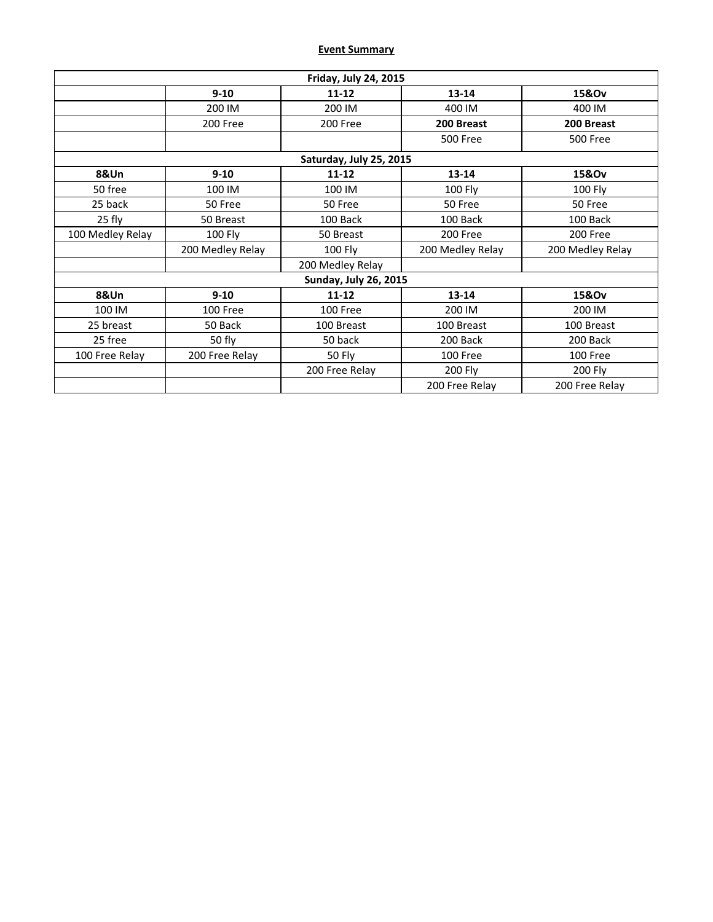# **Event Summary**

| Friday, July 24, 2015   |                              |                    |                           |                  |  |  |  |  |
|-------------------------|------------------------------|--------------------|---------------------------|------------------|--|--|--|--|
|                         | $9 - 10$                     | $11 - 12$          | $13 - 14$                 | 15&Ov            |  |  |  |  |
|                         | 200 IM                       | 200 IM             | 400 IM                    | 400 IM           |  |  |  |  |
|                         | 200 Free                     | 200 Free           | 200 Breast                | 200 Breast       |  |  |  |  |
|                         |                              |                    | 500 Free                  | <b>500 Free</b>  |  |  |  |  |
| Saturday, July 25, 2015 |                              |                    |                           |                  |  |  |  |  |
| 8&Un                    | $9 - 10$                     | $11 - 12$          | $13 - 14$                 | 15&Ov            |  |  |  |  |
| 50 free                 | 100 IM                       | 100 IM             | <b>100 Fly</b><br>100 Fly |                  |  |  |  |  |
| 25 back                 | 50 Free                      | 50 Free            | 50 Free<br>50 Free        |                  |  |  |  |  |
| 25 fly                  | 50 Breast                    | 100 Back           | 100 Back                  | 100 Back         |  |  |  |  |
| 100 Medley Relay        | <b>100 Fly</b>               | 50 Breast          | 200 Free                  |                  |  |  |  |  |
|                         | 200 Medley Relay             | 100 Fly            | 200 Medley Relay          | 200 Medley Relay |  |  |  |  |
|                         |                              | 200 Medley Relay   |                           |                  |  |  |  |  |
|                         | <b>Sunday, July 26, 2015</b> |                    |                           |                  |  |  |  |  |
| 8&Un                    | $9 - 10$                     | $11 - 12$          | $13 - 14$                 | 15&Ov            |  |  |  |  |
| 100 IM                  | 100 Free                     | 100 Free           | 200 IM<br>200 IM          |                  |  |  |  |  |
| 25 breast               | 50 Back                      | 100 Breast         | 100 Breast<br>100 Breast  |                  |  |  |  |  |
| 25 free                 | 50 fly                       | 50 back            | 200 Back<br>200 Back      |                  |  |  |  |  |
| 100 Free Relay          | 200 Free Relay               | 50 Fly<br>100 Free |                           | 100 Free         |  |  |  |  |
|                         |                              | 200 Free Relay     | <b>200 Fly</b>            | <b>200 Fly</b>   |  |  |  |  |
|                         |                              |                    | 200 Free Relay            | 200 Free Relay   |  |  |  |  |